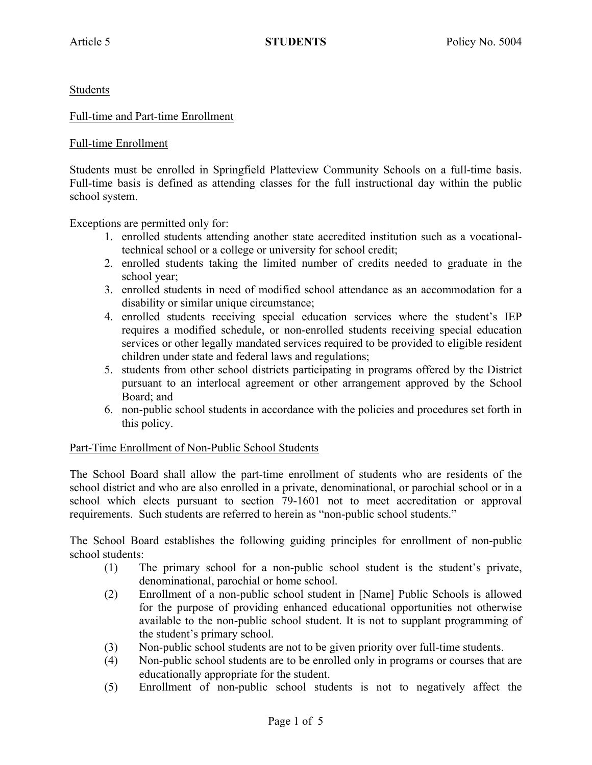Students

### Full-time and Part-time Enrollment

### Full-time Enrollment

Students must be enrolled in Springfield Platteview Community Schools on a full-time basis. Full-time basis is defined as attending classes for the full instructional day within the public school system.

Exceptions are permitted only for:

- 1. enrolled students attending another state accredited institution such as a vocationaltechnical school or a college or university for school credit;
- 2. enrolled students taking the limited number of credits needed to graduate in the school year;
- 3. enrolled students in need of modified school attendance as an accommodation for a disability or similar unique circumstance;
- 4. enrolled students receiving special education services where the student's IEP requires a modified schedule, or non-enrolled students receiving special education services or other legally mandated services required to be provided to eligible resident children under state and federal laws and regulations;
- 5. students from other school districts participating in programs offered by the District pursuant to an interlocal agreement or other arrangement approved by the School Board; and
- 6. non-public school students in accordance with the policies and procedures set forth in this policy.

#### Part-Time Enrollment of Non-Public School Students

The School Board shall allow the part-time enrollment of students who are residents of the school district and who are also enrolled in a private, denominational, or parochial school or in a school which elects pursuant to section 79-1601 not to meet accreditation or approval requirements. Such students are referred to herein as "non-public school students."

The School Board establishes the following guiding principles for enrollment of non-public school students:

- (1) The primary school for a non-public school student is the student's private, denominational, parochial or home school.
- (2) Enrollment of a non-public school student in [Name] Public Schools is allowed for the purpose of providing enhanced educational opportunities not otherwise available to the non-public school student. It is not to supplant programming of the student's primary school.
- (3) Non-public school students are not to be given priority over full-time students.
- (4) Non-public school students are to be enrolled only in programs or courses that are educationally appropriate for the student.
- (5) Enrollment of non-public school students is not to negatively affect the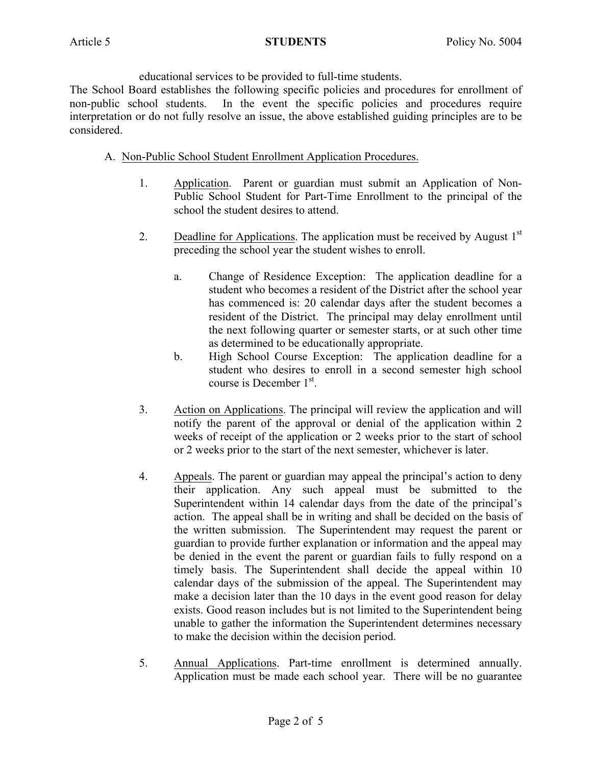educational services to be provided to full-time students.

The School Board establishes the following specific policies and procedures for enrollment of non-public school students. In the event the specific policies and procedures require interpretation or do not fully resolve an issue, the above established guiding principles are to be considered.

## A. Non-Public School Student Enrollment Application Procedures.

- 1. Application. Parent or guardian must submit an Application of Non-Public School Student for Part-Time Enrollment to the principal of the school the student desires to attend.
- 2. Deadline for Applications. The application must be received by August  $1<sup>st</sup>$ preceding the school year the student wishes to enroll.
	- a. Change of Residence Exception: The application deadline for a student who becomes a resident of the District after the school year has commenced is: 20 calendar days after the student becomes a resident of the District. The principal may delay enrollment until the next following quarter or semester starts, or at such other time as determined to be educationally appropriate.
	- b. High School Course Exception: The application deadline for a student who desires to enroll in a second semester high school course is December  $1<sup>st</sup>$ .
- 3. Action on Applications. The principal will review the application and will notify the parent of the approval or denial of the application within 2 weeks of receipt of the application or 2 weeks prior to the start of school or 2 weeks prior to the start of the next semester, whichever is later.
- 4. Appeals. The parent or guardian may appeal the principal's action to deny their application. Any such appeal must be submitted to the Superintendent within 14 calendar days from the date of the principal's action. The appeal shall be in writing and shall be decided on the basis of the written submission. The Superintendent may request the parent or guardian to provide further explanation or information and the appeal may be denied in the event the parent or guardian fails to fully respond on a timely basis. The Superintendent shall decide the appeal within 10 calendar days of the submission of the appeal. The Superintendent may make a decision later than the 10 days in the event good reason for delay exists. Good reason includes but is not limited to the Superintendent being unable to gather the information the Superintendent determines necessary to make the decision within the decision period.
- 5. Annual Applications. Part-time enrollment is determined annually. Application must be made each school year. There will be no guarantee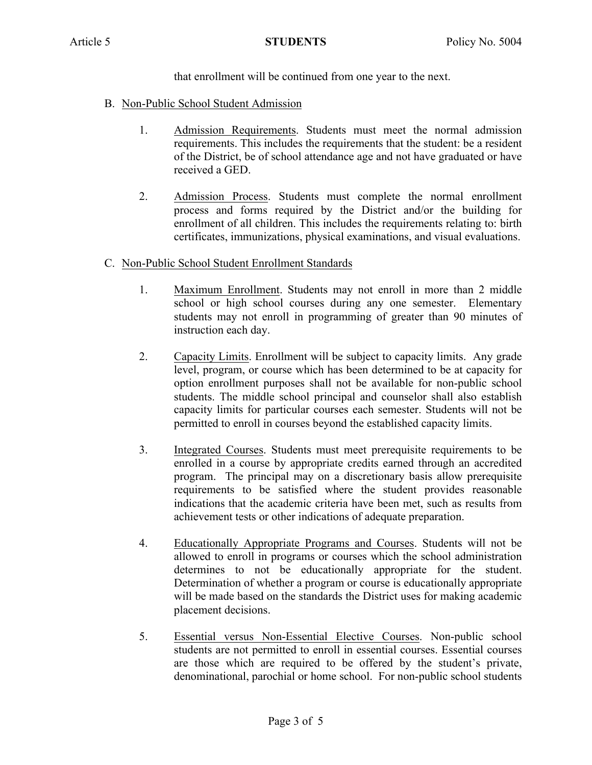that enrollment will be continued from one year to the next.

- B. Non-Public School Student Admission
	- 1. Admission Requirements. Students must meet the normal admission requirements. This includes the requirements that the student: be a resident of the District, be of school attendance age and not have graduated or have received a GED.
	- 2. Admission Process. Students must complete the normal enrollment process and forms required by the District and/or the building for enrollment of all children. This includes the requirements relating to: birth certificates, immunizations, physical examinations, and visual evaluations.

# C. Non-Public School Student Enrollment Standards

- 1. Maximum Enrollment. Students may not enroll in more than 2 middle school or high school courses during any one semester. Elementary students may not enroll in programming of greater than 90 minutes of instruction each day.
- 2. Capacity Limits. Enrollment will be subject to capacity limits. Any grade level, program, or course which has been determined to be at capacity for option enrollment purposes shall not be available for non-public school students. The middle school principal and counselor shall also establish capacity limits for particular courses each semester. Students will not be permitted to enroll in courses beyond the established capacity limits.
- 3. Integrated Courses. Students must meet prerequisite requirements to be enrolled in a course by appropriate credits earned through an accredited program. The principal may on a discretionary basis allow prerequisite requirements to be satisfied where the student provides reasonable indications that the academic criteria have been met, such as results from achievement tests or other indications of adequate preparation.
- 4. Educationally Appropriate Programs and Courses. Students will not be allowed to enroll in programs or courses which the school administration determines to not be educationally appropriate for the student. Determination of whether a program or course is educationally appropriate will be made based on the standards the District uses for making academic placement decisions.
- 5. Essential versus Non-Essential Elective Courses. Non-public school students are not permitted to enroll in essential courses. Essential courses are those which are required to be offered by the student's private, denominational, parochial or home school. For non-public school students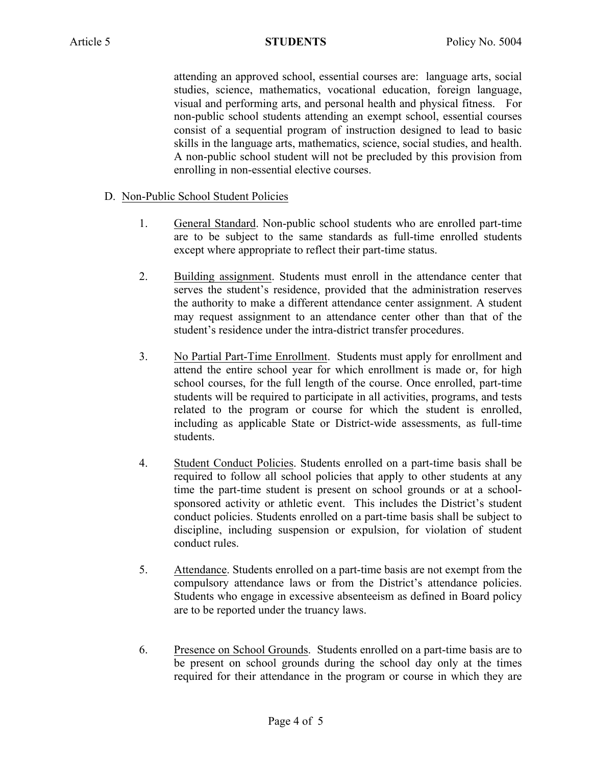attending an approved school, essential courses are: language arts, social studies, science, mathematics, vocational education, foreign language, visual and performing arts, and personal health and physical fitness. For non-public school students attending an exempt school, essential courses consist of a sequential program of instruction designed to lead to basic skills in the language arts, mathematics, science, social studies, and health. A non-public school student will not be precluded by this provision from enrolling in non-essential elective courses.

# D. Non-Public School Student Policies

- 1. General Standard. Non-public school students who are enrolled part-time are to be subject to the same standards as full-time enrolled students except where appropriate to reflect their part-time status.
- 2. Building assignment. Students must enroll in the attendance center that serves the student's residence, provided that the administration reserves the authority to make a different attendance center assignment. A student may request assignment to an attendance center other than that of the student's residence under the intra-district transfer procedures.
- 3. No Partial Part-Time Enrollment. Students must apply for enrollment and attend the entire school year for which enrollment is made or, for high school courses, for the full length of the course. Once enrolled, part-time students will be required to participate in all activities, programs, and tests related to the program or course for which the student is enrolled, including as applicable State or District-wide assessments, as full-time students.
- 4. Student Conduct Policies. Students enrolled on a part-time basis shall be required to follow all school policies that apply to other students at any time the part-time student is present on school grounds or at a schoolsponsored activity or athletic event. This includes the District's student conduct policies. Students enrolled on a part-time basis shall be subject to discipline, including suspension or expulsion, for violation of student conduct rules.
- 5. Attendance. Students enrolled on a part-time basis are not exempt from the compulsory attendance laws or from the District's attendance policies. Students who engage in excessive absenteeism as defined in Board policy are to be reported under the truancy laws.
- 6. Presence on School Grounds. Students enrolled on a part-time basis are to be present on school grounds during the school day only at the times required for their attendance in the program or course in which they are